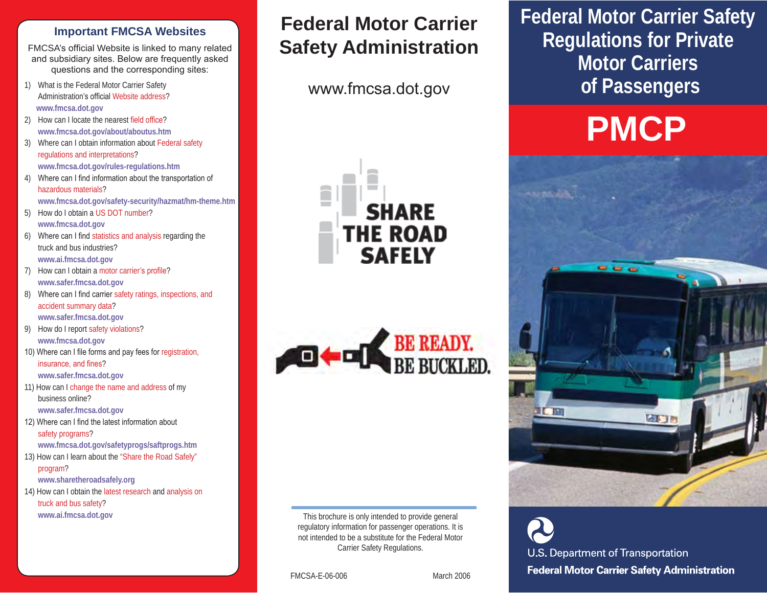#### **Important FMCSA Websites**

FMCSA's official Website is linked to many related and subsidiary sites. Below are frequently asked questions and the corresponding sites:

- 1) What is the Federal Motor Carrier Safety Administration's official Website address?  **www.fmcsa.dot.gov**
- 2) How can I locate the nearest field office? **www.fmcsa.dot.gov/about/aboutus.htm**
- 3) Where can I obtain information about Federal safety regulations and interpretations? **www.fmcsa.dot.gov/rules-regulations.htm**
- 4) Where can I find information about the transportation of hazardous materials?
	- **www.fmcsa.dot.gov/safety-security/hazmat/hm-theme.htm**
- 5) How do I obtain a US DOT number? **www.fmcsa.dot.gov**
- 6) Where can I find statistics and analysis regarding the truck and bus industries? **www.ai.fmcsa.dot.gov**
- 7) How can I obtain a motor carrier's profile? **www.safer.fmcsa.dot.gov**
- 8) Where can I find carrier safety ratings, inspections, and accident summary data? **www.safer.fmcsa.dot.gov**
- 9) How do I report safety violations? **www.fmcsa.dot.gov**
- 10) Where can I file forms and pay fees for registration, insurance, and fines? **www.safer.fmcsa.dot.gov**
- 11) How can I change the name and address of my business online?

**www.safer.fmcsa.dot.gov** 

12) Where can I find the latest information about safety programs?

**www.fmcsa.dot.gov/safetyprogs/saftprogs.htm** 

13) How can I learn about the "Share the Road Safely" program?

**www.sharetheroadsafely.org** 

14) How can I obtain the latest research and analysis on truck and bus safety? **www.ai.fmcsa.dot.gov** 

# **Federal Motor Carrier Safety Administration**

www.fmcsa.dot.gov





This brochure is only intended to provide general regulatory information for passenger operations. It is not intended to be a substitute for the Federal Motor Carrier Safety Regulations.

FMCSA-E-06-006 March 2006

**Federal Motor Carrier Safety Regulations for Private Motor Carriers of Passengers** 

# **PMCP**



U.S. Department of Transportation **Federal Motor Carrier Safety Administration**